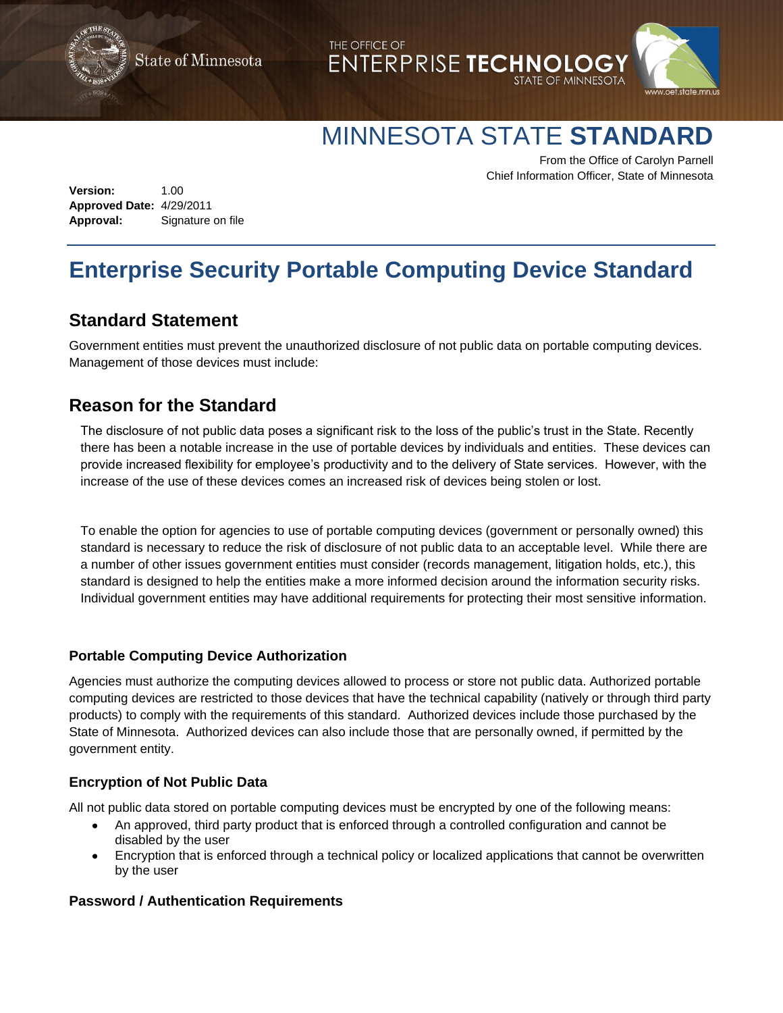**State of Minnesota** 





# MINNESOTA STATE **STANDARD**

From the Office of Carolyn Parnell Chief Information Officer, State of Minnesota

**Version:** 1.00 **Approved Date:** 4/29/2011 **Approval:** Signature on file

# **Enterprise Security Portable Computing Device Standard**

THE OFFICE OF

# **Standard Statement**

Government entities must prevent the unauthorized disclosure of not public data on portable computing devices. Management of those devices must include:

# **Reason for the Standard**

The disclosure of not public data poses a significant risk to the loss of the public's trust in the State. Recently there has been a notable increase in the use of portable devices by individuals and entities. These devices can provide increased flexibility for employee's productivity and to the delivery of State services. However, with the increase of the use of these devices comes an increased risk of devices being stolen or lost.

To enable the option for agencies to use of portable computing devices (government or personally owned) this standard is necessary to reduce the risk of disclosure of not public data to an acceptable level. While there are a number of other issues government entities must consider (records management, litigation holds, etc.), this standard is designed to help the entities make a more informed decision around the information security risks. Individual government entities may have additional requirements for protecting their most sensitive information.

### **Portable Computing Device Authorization**

Agencies must authorize the computing devices allowed to process or store not public data. Authorized portable computing devices are restricted to those devices that have the technical capability (natively or through third party products) to comply with the requirements of this standard. Authorized devices include those purchased by the State of Minnesota. Authorized devices can also include those that are personally owned, if permitted by the government entity.

### **Encryption of Not Public Data**

All not public data stored on portable computing devices must be encrypted by one of the following means:

- An approved, third party product that is enforced through a controlled configuration and cannot be disabled by the user
- Encryption that is enforced through a technical policy or localized applications that cannot be overwritten by the user

### **Password / Authentication Requirements**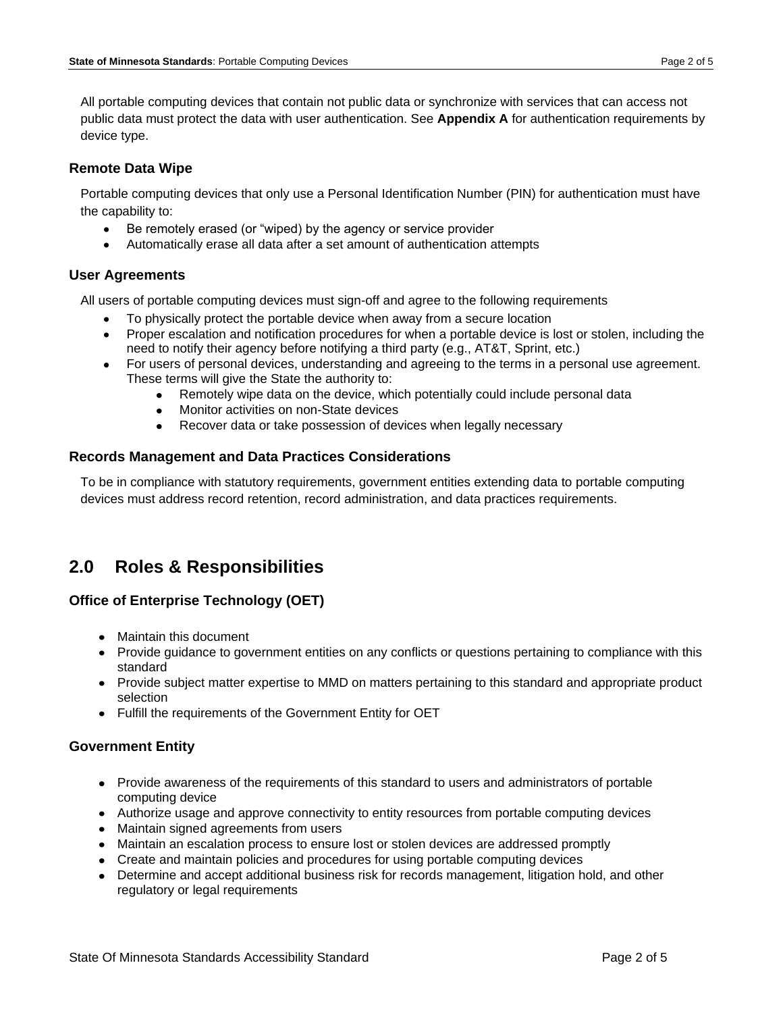All portable computing devices that contain not public data or synchronize with services that can access not public data must protect the data with user authentication. See **Appendix A** for authentication requirements by device type.

### **Remote Data Wipe**

Portable computing devices that only use a Personal Identification Number (PIN) for authentication must have the capability to:

- Be remotely erased (or "wiped) by the agency or service provider
- Automatically erase all data after a set amount of authentication attempts

### **User Agreements**

All users of portable computing devices must sign-off and agree to the following requirements

- To physically protect the portable device when away from a secure location
- Proper escalation and notification procedures for when a portable device is lost or stolen, including the need to notify their agency before notifying a third party (e.g., AT&T, Sprint, etc.)
- For users of personal devices, understanding and agreeing to the terms in a personal use agreement. These terms will give the State the authority to:
	- Remotely wipe data on the device, which potentially could include personal data  $\bullet$
	- Monitor activities on non-State devices  $\bullet$
	- Recover data or take possession of devices when legally necessary

### **Records Management and Data Practices Considerations**

To be in compliance with statutory requirements, government entities extending data to portable computing devices must address record retention, record administration, and data practices requirements.

## **2.0 Roles & Responsibilities**

### **Office of Enterprise Technology (OET)**

- Maintain this document
- Provide guidance to government entities on any conflicts or questions pertaining to compliance with this standard
- Provide subject matter expertise to MMD on matters pertaining to this standard and appropriate product selection
- Fulfill the requirements of the Government Entity for OET

### **Government Entity**

- Provide awareness of the requirements of this standard to users and administrators of portable computing device
- Authorize usage and approve connectivity to entity resources from portable computing devices
- Maintain signed agreements from users
- Maintain an escalation process to ensure lost or stolen devices are addressed promptly
- Create and maintain policies and procedures for using portable computing devices
- Determine and accept additional business risk for records management, litigation hold, and other regulatory or legal requirements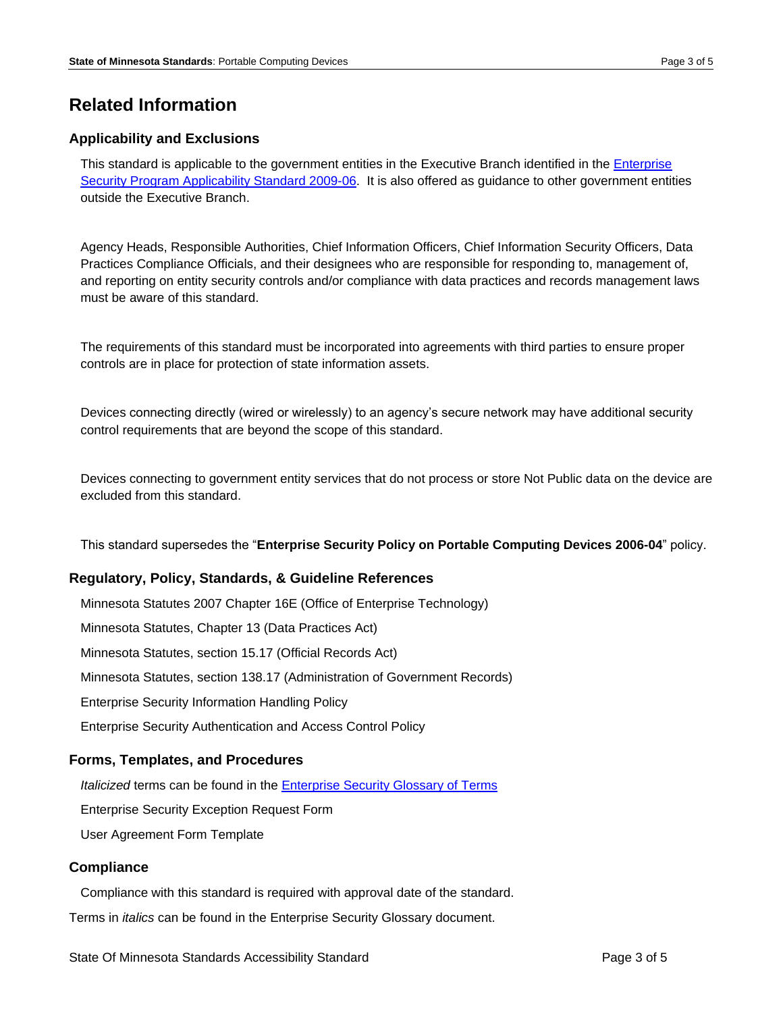# **Related Information**

### **Applicability and Exclusions**

This standard is applicable to the government entities in the Executive Branch identified in the [Enterprise](http://www.state.mn.us/portal/mn/jsp/content.do?programid=536911238&id=-536891917&agency=OETweb)  [Security Program Applicability Standard 2009-06.](http://www.state.mn.us/portal/mn/jsp/content.do?programid=536911238&id=-536891917&agency=OETweb) It is also offered as guidance to other government entities outside the Executive Branch.

Agency Heads, Responsible Authorities, Chief Information Officers, Chief Information Security Officers, Data Practices Compliance Officials, and their designees who are responsible for responding to, management of, and reporting on entity security controls and/or compliance with data practices and records management laws must be aware of this standard.

The requirements of this standard must be incorporated into agreements with third parties to ensure proper controls are in place for protection of state information assets.

Devices connecting directly (wired or wirelessly) to an agency's secure network may have additional security control requirements that are beyond the scope of this standard.

Devices connecting to government entity services that do not process or store Not Public data on the device are excluded from this standard.

This standard supersedes the "**Enterprise Security Policy on Portable Computing Devices 2006-04**" policy.

### **Regulatory, Policy, Standards, & Guideline References**

Minnesota Statutes 2007 Chapter 16E [\(Office of Enterprise Technology\)](http://www.revisor.leg.state.mn.us/revisor/pages/statute/statute_chapter_toc.php?chapter=16E) Minnesota Statutes, Chapter 13 (Data Practices Act) Minnesota Statutes, section 15.17 (Official Records Act) Minnesota Statutes, section 138.17 (Administration of Government Records) Enterprise Security Information Handling Policy Enterprise Security Authentication and Access Control Policy

### **Forms, Templates, and Procedures**

*Italicized* terms can be found in the [Enterprise Security Glossary of Terms](http://www.state.mn.us/portal/mn/jsp/content.do?subchannel=null&programid=536911238&sc3=null&sc2=null&id=-536891917&agency=OETweb)

Enterprise Security Exception Request Form

User Agreement Form Template

#### **Compliance**

Compliance with this standard is required with approval date of the standard.

Terms in *italics* can be found in the Enterprise Security Glossary document.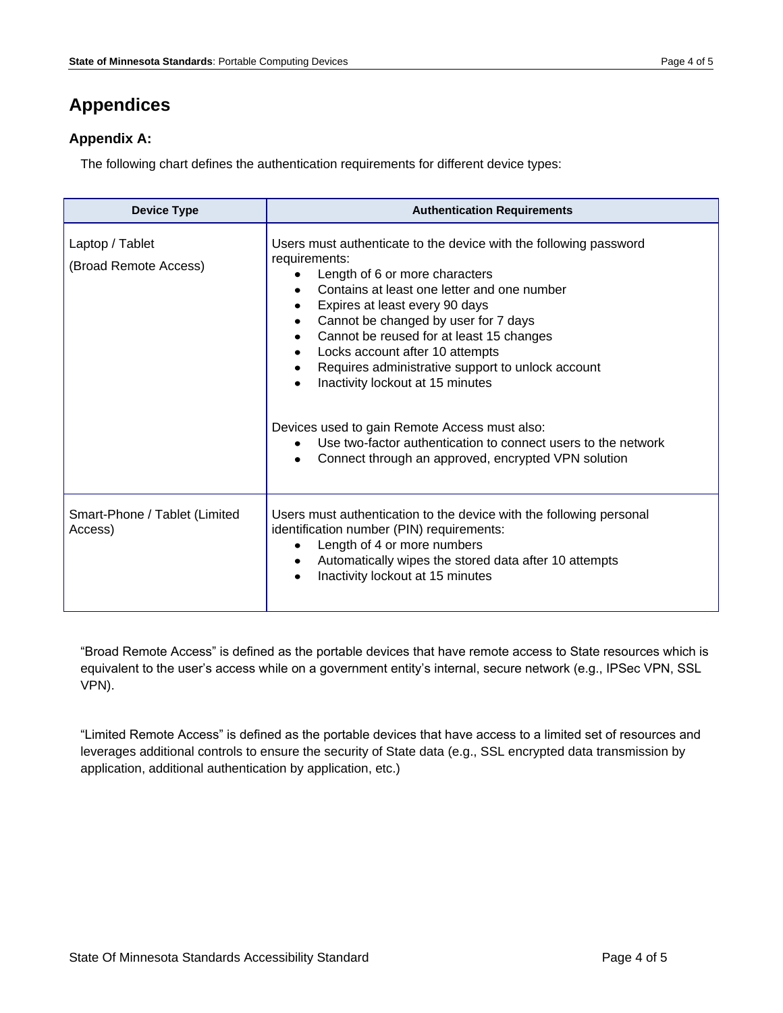# **Appendices**

## **Appendix A:**

The following chart defines the authentication requirements for different device types:

| <b>Device Type</b>                       | <b>Authentication Requirements</b>                                                                                                                                                                                                                                                                                                                                                                                                                                                                                                                                                             |  |
|------------------------------------------|------------------------------------------------------------------------------------------------------------------------------------------------------------------------------------------------------------------------------------------------------------------------------------------------------------------------------------------------------------------------------------------------------------------------------------------------------------------------------------------------------------------------------------------------------------------------------------------------|--|
| Laptop / Tablet<br>(Broad Remote Access) | Users must authenticate to the device with the following password<br>requirements:<br>Length of 6 or more characters<br>Contains at least one letter and one number<br>Expires at least every 90 days<br>Cannot be changed by user for 7 days<br>Cannot be reused for at least 15 changes<br>Locks account after 10 attempts<br>Requires administrative support to unlock account<br>Inactivity lockout at 15 minutes<br>Devices used to gain Remote Access must also:<br>Use two-factor authentication to connect users to the network<br>Connect through an approved, encrypted VPN solution |  |
| Smart-Phone / Tablet (Limited<br>Access) | Users must authentication to the device with the following personal<br>identification number (PIN) requirements:<br>Length of 4 or more numbers<br>Automatically wipes the stored data after 10 attempts<br>Inactivity lockout at 15 minutes                                                                                                                                                                                                                                                                                                                                                   |  |

"Broad Remote Access" is defined as the portable devices that have remote access to State resources which is equivalent to the user's access while on a government entity's internal, secure network (e.g., IPSec VPN, SSL VPN).

"Limited Remote Access" is defined as the portable devices that have access to a limited set of resources and leverages additional controls to ensure the security of State data (e.g., SSL encrypted data transmission by application, additional authentication by application, etc.)